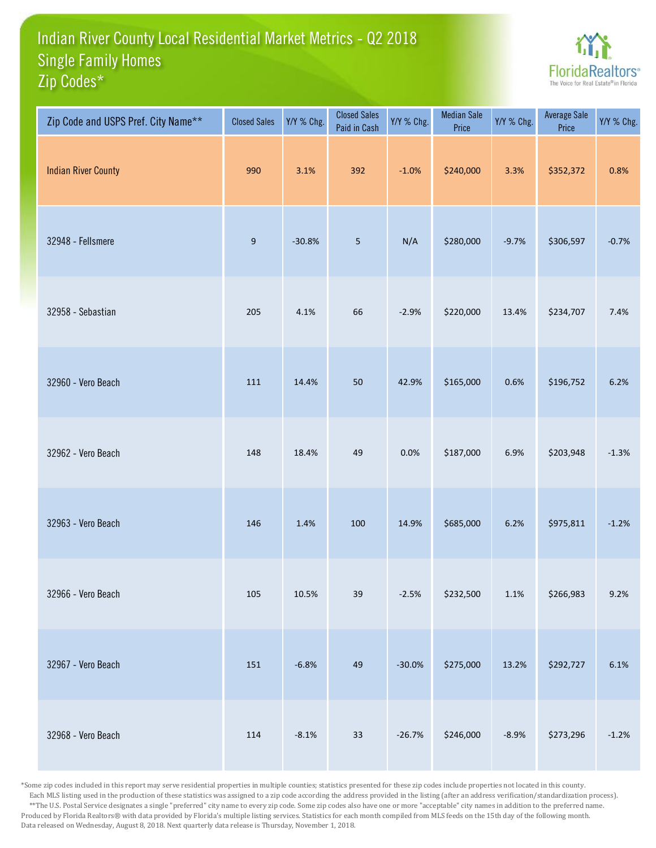## Indian River County Local Residential Market Metrics - Q2 2018 Zip Codes\* Single Family Homes



| Zip Code and USPS Pref. City Name** | <b>Closed Sales</b> | Y/Y % Chg. | <b>Closed Sales</b><br>Paid in Cash | Y/Y % Chg. | <b>Median Sale</b><br>Price | Y/Y % Chg. | Average Sale<br>Price | Y/Y % Chg. |
|-------------------------------------|---------------------|------------|-------------------------------------|------------|-----------------------------|------------|-----------------------|------------|
| <b>Indian River County</b>          | 990                 | 3.1%       | 392                                 | $-1.0%$    | \$240,000                   | 3.3%       | \$352,372             | 0.8%       |
| 32948 - Fellsmere                   | $9\,$               | $-30.8%$   | 5                                   | N/A        | \$280,000                   | $-9.7%$    | \$306,597             | $-0.7%$    |
| 32958 - Sebastian                   | 205                 | 4.1%       | 66                                  | $-2.9%$    | \$220,000                   | 13.4%      | \$234,707             | 7.4%       |
| 32960 - Vero Beach                  | 111                 | 14.4%      | 50                                  | 42.9%      | \$165,000                   | 0.6%       | \$196,752             | 6.2%       |
| 32962 - Vero Beach                  | 148                 | 18.4%      | 49                                  | 0.0%       | \$187,000                   | 6.9%       | \$203,948             | $-1.3%$    |
| 32963 - Vero Beach                  | 146                 | 1.4%       | 100                                 | 14.9%      | \$685,000                   | 6.2%       | \$975,811             | $-1.2%$    |
| 32966 - Vero Beach                  | 105                 | 10.5%      | 39                                  | $-2.5%$    | \$232,500                   | $1.1\%$    | \$266,983             | 9.2%       |
| 32967 - Vero Beach                  | 151                 | $-6.8%$    | 49                                  | $-30.0%$   | \$275,000                   | 13.2%      | \$292,727             | 6.1%       |
| 32968 - Vero Beach                  | 114                 | $-8.1%$    | $33\,$                              | $-26.7%$   | \$246,000                   | $-8.9%$    | \$273,296             | $-1.2%$    |

\*Some zip codes included in this report may serve residential properties in multiple counties; statistics presented for these zip codes include properties not located in this county. Each MLS listing used in the production of these statistics was assigned to a zip code according the address provided in the listing (after an address verification/standardization process). \*\*The U.S. Postal Service designates a single "preferred" city name to every zip code. Some zip codes also have one or more "acceptable" city names in addition to the preferred name. Produced by Florida Realtors® with data provided by Florida's multiple listing services. Statistics for each month compiled from MLS feeds on the 15th day of the following month. Data released on Wednesday, August 8, 2018. Next quarterly data release is Thursday, November 1, 2018.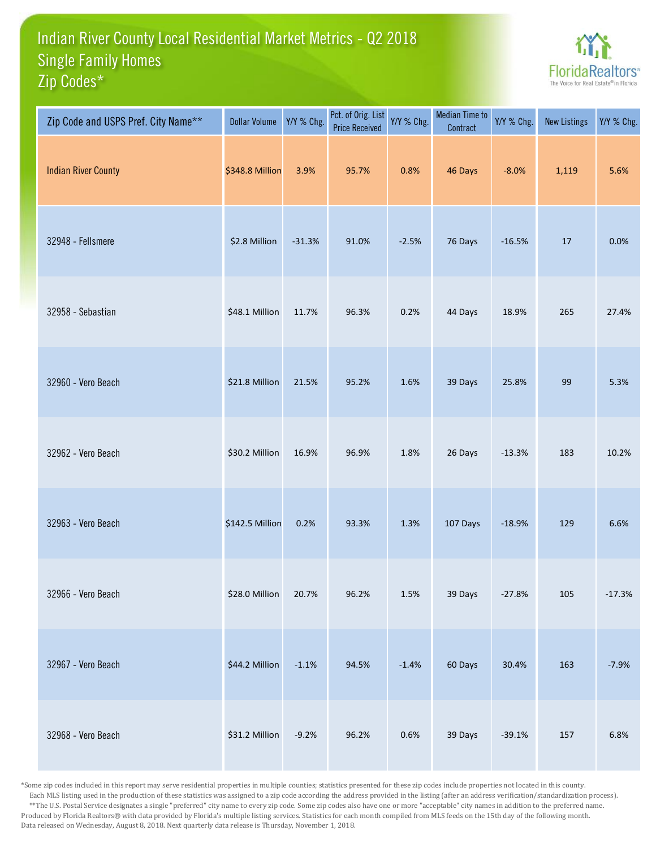## Indian River County Local Residential Market Metrics - Q2 2018 Zip Codes\* Single Family Homes



| Zip Code and USPS Pref. City Name** | <b>Dollar Volume</b> | Y/Y % Chg. | Pct. of Orig. List<br><b>Price Received</b> | Y/Y % Chg. | <b>Median Time to</b><br>Contract | Y/Y % Chg. | <b>New Listings</b> | Y/Y % Chg. |
|-------------------------------------|----------------------|------------|---------------------------------------------|------------|-----------------------------------|------------|---------------------|------------|
| <b>Indian River County</b>          | \$348.8 Million      | 3.9%       | 95.7%                                       | 0.8%       | 46 Days                           | $-8.0%$    | 1,119               | 5.6%       |
| 32948 - Fellsmere                   | \$2.8 Million        | $-31.3%$   | 91.0%                                       | $-2.5%$    | 76 Days                           | $-16.5%$   | 17                  | 0.0%       |
| 32958 - Sebastian                   | \$48.1 Million       | 11.7%      | 96.3%                                       | 0.2%       | 44 Days                           | 18.9%      | 265                 | 27.4%      |
| 32960 - Vero Beach                  | \$21.8 Million       | 21.5%      | 95.2%                                       | 1.6%       | 39 Days                           | 25.8%      | 99                  | 5.3%       |
| 32962 - Vero Beach                  | \$30.2 Million       | 16.9%      | 96.9%                                       | 1.8%       | 26 Days                           | $-13.3%$   | 183                 | 10.2%      |
| 32963 - Vero Beach                  | \$142.5 Million      | 0.2%       | 93.3%                                       | 1.3%       | 107 Days                          | $-18.9%$   | 129                 | 6.6%       |
| 32966 - Vero Beach                  | \$28.0 Million       | 20.7%      | 96.2%                                       | $1.5\%$    | 39 Days                           | $-27.8%$   | 105                 | $-17.3%$   |
| 32967 - Vero Beach                  | \$44.2 Million       | $-1.1%$    | 94.5%                                       | $-1.4%$    | 60 Days                           | 30.4%      | 163                 | $-7.9%$    |
| 32968 - Vero Beach                  | \$31.2 Million       | $-9.2%$    | 96.2%                                       | 0.6%       | 39 Days                           | $-39.1%$   | 157                 | 6.8%       |

\*Some zip codes included in this report may serve residential properties in multiple counties; statistics presented for these zip codes include properties not located in this county. Each MLS listing used in the production of these statistics was assigned to a zip code according the address provided in the listing (after an address verification/standardization process). \*\*The U.S. Postal Service designates a single "preferred" city name to every zip code. Some zip codes also have one or more "acceptable" city names in addition to the preferred name. Produced by Florida Realtors® with data provided by Florida's multiple listing services. Statistics for each month compiled from MLS feeds on the 15th day of the following month. Data released on Wednesday, August 8, 2018. Next quarterly data release is Thursday, November 1, 2018.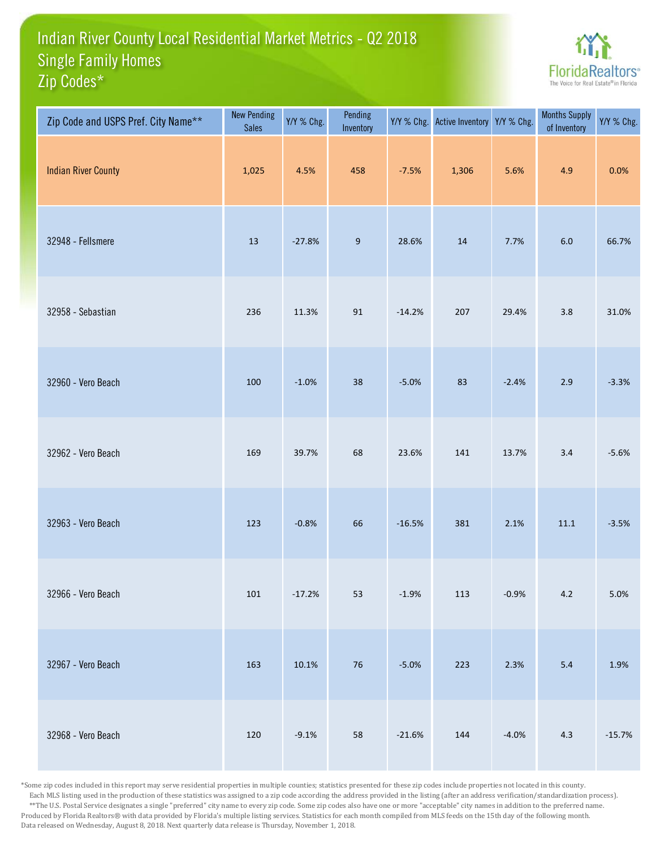## Indian River County Local Residential Market Metrics - Q2 2018 Zip Codes\* Single Family Homes



| Zip Code and USPS Pref. City Name** | <b>New Pending</b><br><b>Sales</b> | Y/Y % Chg. | Pending<br>Inventory |          | Y/Y % Chg. Active Inventory Y/Y % Chg. |         | <b>Months Supply</b><br>of Inventory | Y/Y % Chg. |
|-------------------------------------|------------------------------------|------------|----------------------|----------|----------------------------------------|---------|--------------------------------------|------------|
| <b>Indian River County</b>          | 1,025                              | 4.5%       | 458                  | $-7.5%$  | 1,306                                  | 5.6%    | 4.9                                  | 0.0%       |
| 32948 - Fellsmere                   | 13                                 | $-27.8%$   | $\boldsymbol{9}$     | 28.6%    | 14                                     | 7.7%    | $6.0\,$                              | 66.7%      |
| 32958 - Sebastian                   | 236                                | 11.3%      | 91                   | $-14.2%$ | 207                                    | 29.4%   | 3.8                                  | 31.0%      |
| 32960 - Vero Beach                  | 100                                | $-1.0%$    | 38                   | $-5.0%$  | 83                                     | $-2.4%$ | 2.9                                  | $-3.3%$    |
| 32962 - Vero Beach                  | 169                                | 39.7%      | 68                   | 23.6%    | 141                                    | 13.7%   | $3.4$                                | $-5.6%$    |
| 32963 - Vero Beach                  | 123                                | $-0.8%$    | 66                   | $-16.5%$ | 381                                    | 2.1%    | $11.1\,$                             | $-3.5%$    |
| 32966 - Vero Beach                  | 101                                | $-17.2%$   | 53                   | $-1.9%$  | 113                                    | $-0.9%$ | $4.2\,$                              | 5.0%       |
| 32967 - Vero Beach                  | 163                                | 10.1%      | $76\,$               | $-5.0%$  | 223                                    | 2.3%    | 5.4                                  | 1.9%       |
| 32968 - Vero Beach                  | 120                                | $-9.1%$    | 58                   | $-21.6%$ | 144                                    | $-4.0%$ | $4.3$                                | $-15.7%$   |

\*Some zip codes included in this report may serve residential properties in multiple counties; statistics presented for these zip codes include properties not located in this county. Each MLS listing used in the production of these statistics was assigned to a zip code according the address provided in the listing (after an address verification/standardization process). \*\*The U.S. Postal Service designates a single "preferred" city name to every zip code. Some zip codes also have one or more "acceptable" city names in addition to the preferred name. Produced by Florida Realtors® with data provided by Florida's multiple listing services. Statistics for each month compiled from MLS feeds on the 15th day of the following month. Data released on Wednesday, August 8, 2018. Next quarterly data release is Thursday, November 1, 2018.